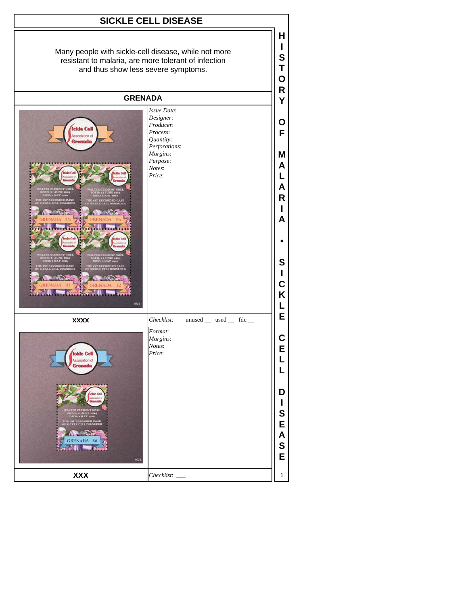## **SICKLE CELL DISEASE**

**H I S T**

Many people with sickle-cell disease, while not more resistant to malaria, are more tolerant of infection and thus show less severe symptoms.

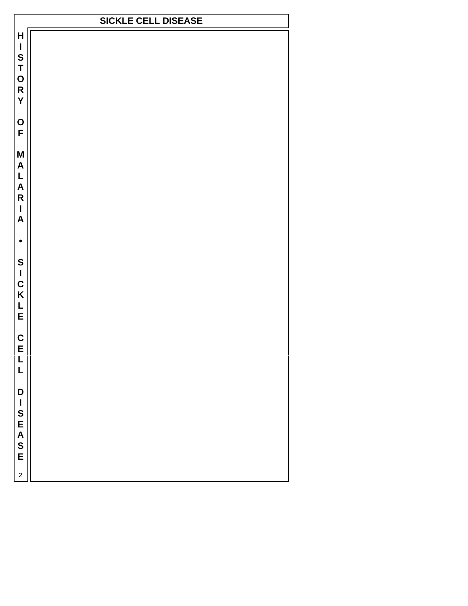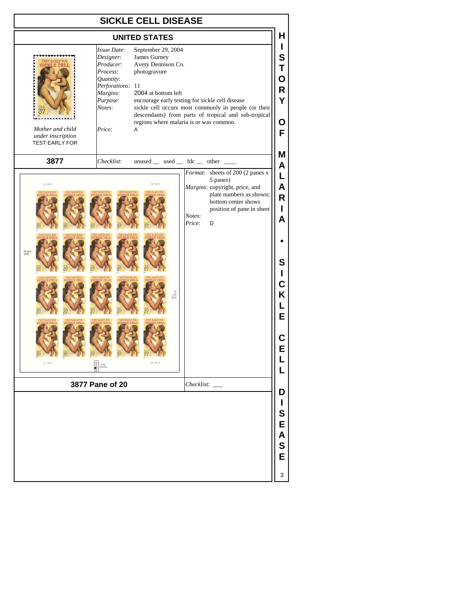## **SICKLE CELL DISEASE H UNITED STATES I** *Issue Date*: September 29, 2004 **S** *Designer*: James Gurney *Producer*: Avery Dennison Co. **T** *Process*: photogravure **O** *Quantity*: *Perforations*: 11 **R** *Margins*: 2004 at bottom left **Y** *Purpose*: encourage early testing for sickle cell disease *Notes*: sickle cell occurs most commonly in people (or their descendants) from parts of tropical and sub-tropical regions where malaria is or was common. **O** *Mother and child Price*: A **F** *under inscription* TEST EARLY FOR **M 3877**  $\qquad$  *Checklist:* unused used fdc other \_\_\_\_\_ **A** *Format*: sheets of 200 (2 panes x **L** 5 panes) VILLES vim **A** *Margins*: copyright, price, and plate numbers as shown; **R** bottom center shows **I** position of pane in sheet *Notes*: **A** *Price*: D **• S I C**  $rac{37}{x20}$ **K L E C E L L 3877 Pane of 20** *Checklist*: \_\_\_ **D I S E A S E** 3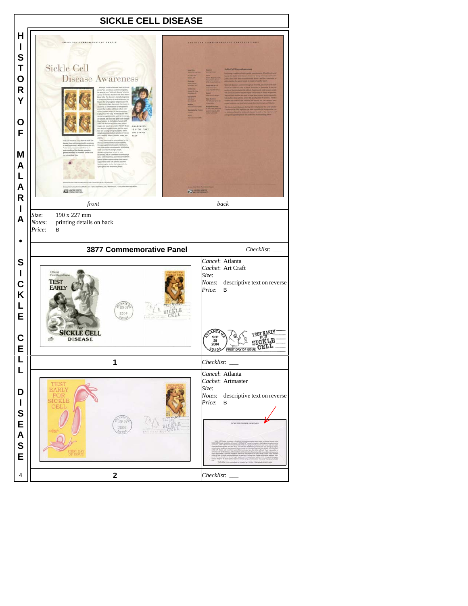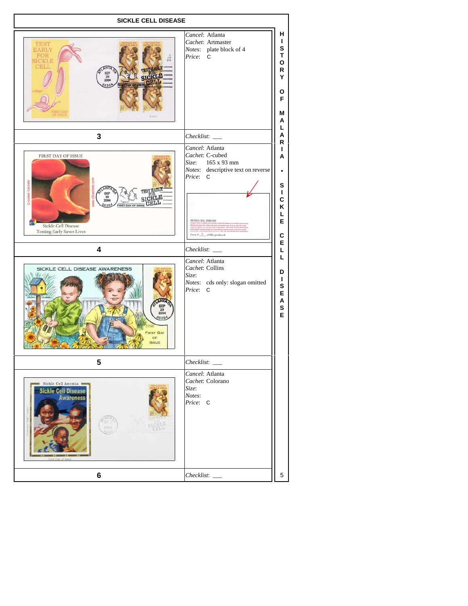| Cancel: Atlanta<br>Cachet: Artmaster<br>TEST<br>Notes: plate block of 4<br>EARLY<br>for<br>Price:<br>C<br>SICKLE<br>CELL<br>SEP<br>29<br>2004<br>0.50<br>V IIII)<br>3<br>Cancel: Atlanta<br>Cachet: C-cubed<br>FIRST DAY OF ISSUE                                                    |
|--------------------------------------------------------------------------------------------------------------------------------------------------------------------------------------------------------------------------------------------------------------------------------------|
|                                                                                                                                                                                                                                                                                      |
|                                                                                                                                                                                                                                                                                      |
| 165 x 93 mm<br>Size:<br>Notes: descriptive text on reverse<br>Price: C<br><b>C-cubed Cachets</b><br>SEP<br>$\frac{29}{2004}$<br>FIRST DAY OF ISSUE O<br>030<br>SICKLE CELL DISEASE<br><b>Sickle Cell Disease</b><br><b>Testing Early Saves Lives</b><br>Cover # 3 of fifty produced. |
| 4<br>Checklist:                                                                                                                                                                                                                                                                      |
| Cancel: Atlanta<br>Cachet: Collins<br>SICKLE CELL DISEASE AWARENESS<br>Size:<br>Notes: cds only: slogan omitted<br>Price: C<br>29<br>2004<br>7030<br><b>FIRST DAY</b><br>OF<br><b>ISSUE</b>                                                                                          |
| 5                                                                                                                                                                                                                                                                                    |
| Cancel: Atlanta<br>Cachet: Colorano<br>Sickle Cell Anemia<br>Size:<br><b>Sickle Cell Disease</b><br>Notes:<br><b>Awareness</b><br>Price: C                                                                                                                                           |
|                                                                                                                                                                                                                                                                                      |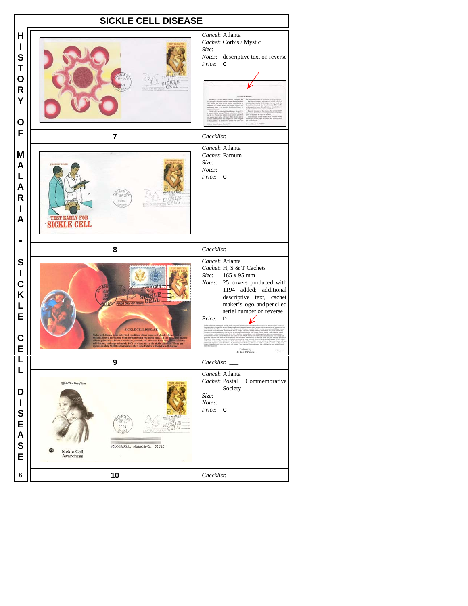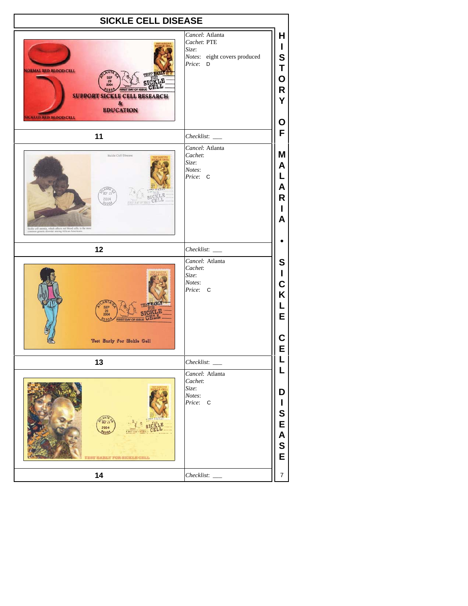| <b>SICKLE CELL DISEASE</b>                                                                                                                                                                       |                                                                                     |                                                |
|--------------------------------------------------------------------------------------------------------------------------------------------------------------------------------------------------|-------------------------------------------------------------------------------------|------------------------------------------------|
| <b>VORMAL RED BLOOD CELL</b><br><b>TES?</b><br>SICKLE<br><b>FIRST DAY OF ISSUE CE!</b><br><b>SUPPORT SICKLE CELL RESEARCH</b><br>$\alpha$<br><b>EDUCATION</b><br><b>SICKLED RED BLOOD CELL</b>   | Cancel: Atlanta<br>Cachet: PTE<br>Size:<br>Notes: eight covers produced<br>Price: D | Н<br>L<br>$\mathbf s$<br>T<br>O<br>R<br>Y<br>О |
| 11                                                                                                                                                                                               |                                                                                     | F                                              |
| Sickle Cell Disease<br>SICKLE<br>2004<br>Cast on or said CEPP<br><i>rosol</i><br>Siekle cell anemia, which affects red blood cells, is the most common genetic disorder among African Americans. | Cancel: Atlanta<br>Cachet:<br>Size:<br>Notes:<br>Price: C                           | Μ<br>A<br>L<br>A<br>R<br>L<br>A                |
| 12                                                                                                                                                                                               |                                                                                     |                                                |
| <b>TEST BARLY</b><br><b>SEP</b><br>$\frac{29}{2004}$<br><b>FIRST DAY OF ISSUE CEL.</b><br>0.00<br>Test Barly for Sichle Cell                                                                     | Cancel: Atlanta<br>Cachet:<br>Size:<br>Notes:<br>Price: C                           | S<br>I<br>C<br>K<br>L<br>E<br>С<br>E           |
| 13                                                                                                                                                                                               | Checklist:                                                                          | L                                              |
| 2004<br>TEST HARLY FOR SICKLE CHILL                                                                                                                                                              | Cancel: Atlanta<br>Cachet:<br>Size:<br>Notes:<br>Price: C                           | L<br>D<br>I<br>S<br>E<br>A<br>S<br>E           |
| 14                                                                                                                                                                                               |                                                                                     | $\boldsymbol{7}$                               |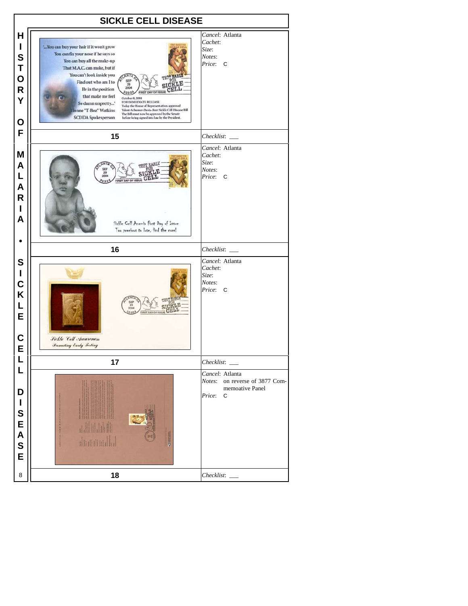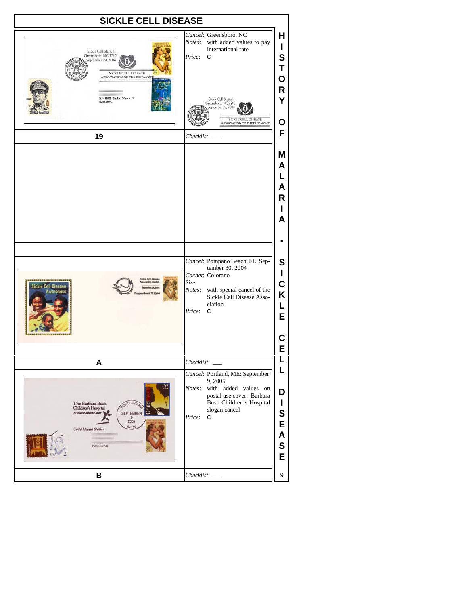| <b>SICKLE CELL DISEASE</b>                                                                                                                                                          |                                                                                                                                                                                                                           |                                                |
|-------------------------------------------------------------------------------------------------------------------------------------------------------------------------------------|---------------------------------------------------------------------------------------------------------------------------------------------------------------------------------------------------------------------------|------------------------------------------------|
| Sickle Cell Station<br>Greensboro, NC 27401<br>September 29, 2004<br><b>SICKLE CELL DISEASE</b><br><b>ASSOCIATION OF THE PIEDMONT</b><br>R-4800 Baia Mare 2<br>ROMANIA              | Cancel: Greensboro, NC<br>Notes: with added values to pay<br>international rate<br>Price:<br>C<br>Sickle Cell Station<br>Greensboro, NC 27401<br>September 29, 2004<br>SICKLE CELL DISEASE<br>ASSOCIATION OF THE PIEDMONT | н<br>I<br>S<br>Т<br>O<br>R<br>Y<br>Ο           |
| 19                                                                                                                                                                                  | Checklist:                                                                                                                                                                                                                | F                                              |
|                                                                                                                                                                                     |                                                                                                                                                                                                                           | Μ<br>A<br>L<br>Α<br>R<br>A                     |
|                                                                                                                                                                                     |                                                                                                                                                                                                                           |                                                |
| <b>Sichie Cell E</b><br><br>Sickle Cell Disease<br>vareness                                                                                                                         | Cancel: Pompano Beach, FL: Sep-<br>tember 30, 2004<br>Cachet: Colorano<br>Size:<br>with special cancel of the<br>Notes:<br>Sickle Cell Disease Asso-<br>ciation<br>Price:<br>C                                            | S<br>I<br>C<br>Κ<br>L<br>E                     |
| .                                                                                                                                                                                   |                                                                                                                                                                                                                           | C                                              |
| A<br>37<br>The Barbara Bush<br>OHILAND<br>Children's Hospital<br>At Maine Medical Caster<br><b>SEPTEMBER</b><br>$\overline{9}$<br>2005<br>04102<br>Child Health Station<br>PAKISTAN | Checklist:<br>Cancel: Portland, ME: September<br>9,2005<br>Notes:<br>with added values on<br>postal use cover; Barbara<br>Bush Children's Hospital<br>slogan cancel<br>Price:<br>С                                        | Ē<br>L<br>L<br>D<br>I<br>S<br>E<br>A<br>S<br>E |
| В                                                                                                                                                                                   | Checklist:                                                                                                                                                                                                                | 9                                              |
|                                                                                                                                                                                     |                                                                                                                                                                                                                           |                                                |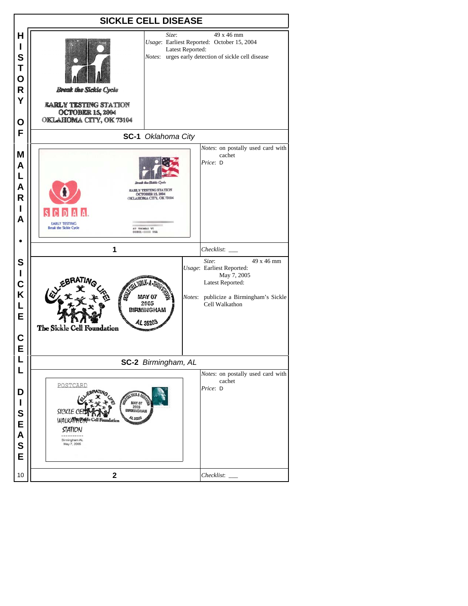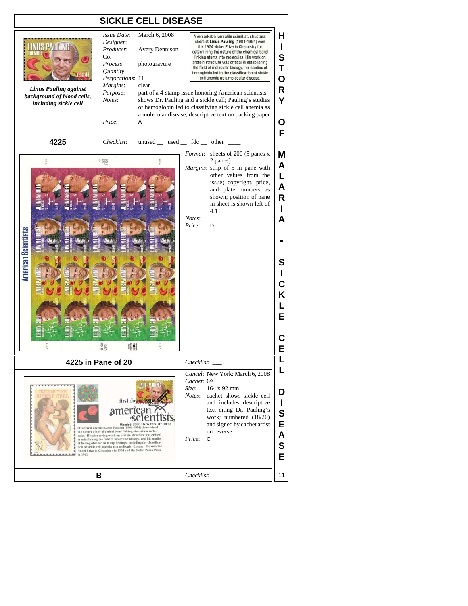## **SICKLE CELL DISEASE**